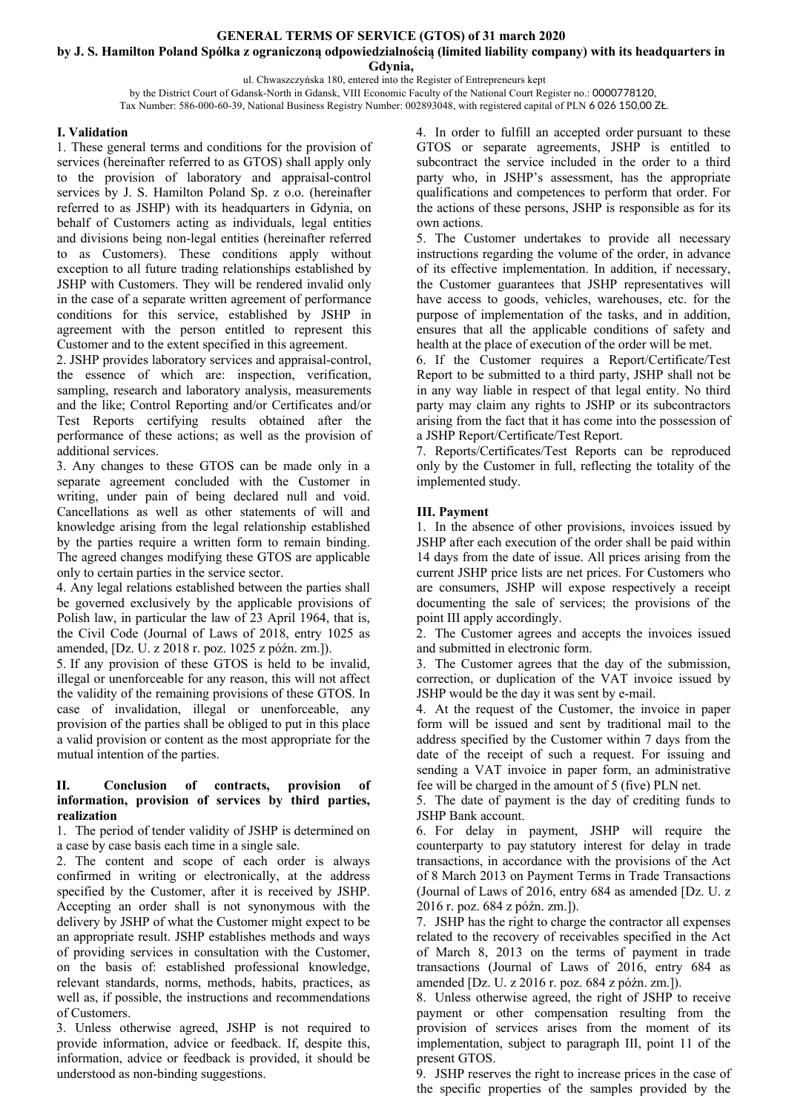# **GENERAL TERMS OF SERVICE (GTOS) of 31 march 2020**

**by J. S. Hamilton Poland Spółka z ograniczoną odpowiedzialnością (limited liability company) with its headquarters in** 

**Gdynia,**

ul. Chwaszczyńska 180, entered into the Register of Entrepreneurs kept

by the District Court of Gdansk-North in Gdansk, VIII Economic Faculty of the National Court Register no.: 0000778120, Tax Number: 586-000-60-39, National Business Registry Number: 002893048, with registered capital of PLN 6 026 150,00 ZŁ.

### **I. Validation**

1. These general terms and conditions for the provision of services (hereinafter referred to as GTOS) shall apply only to the provision of laboratory and appraisal-control services by J. S. Hamilton Poland Sp. z o.o. (hereinafter referred to as JSHP) with its headquarters in Gdynia, on behalf of Customers acting as individuals, legal entities and divisions being non-legal entities (hereinafter referred to as Customers). These conditions apply without exception to all future trading relationships established by JSHP with Customers. They will be rendered invalid only in the case of a separate written agreement of performance conditions for this service, established by JSHP in agreement with the person entitled to represent this Customer and to the extent specified in this agreement.

2. JSHP provides laboratory services and appraisal-control, the essence of which are: inspection, verification, sampling, research and laboratory analysis, measurements and the like; Control Reporting and/or Certificates and/or Test Reports certifying results obtained after the performance of these actions; as well as the provision of additional services.

3. Any changes to these GTOS can be made only in a separate agreement concluded with the Customer in writing, under pain of being declared null and void. Cancellations as well as other statements of will and knowledge arising from the legal relationship established by the parties require a written form to remain binding. The agreed changes modifying these GTOS are applicable only to certain parties in the service sector.

4. Any legal relations established between the parties shall be governed exclusively by the applicable provisions of Polish law, in particular the law of 23 April 1964, that is, the Civil Code (Journal of Laws of 2018, entry 1025 as amended, [Dz. U. z 2018 r. poz. 1025 z późn. zm.]).

5. If any provision of these GTOS is held to be invalid, illegal or unenforceable for any reason, this will not affect the validity of the remaining provisions of these GTOS. In case of invalidation, illegal or unenforceable, any provision of the parties shall be obliged to put in this place a valid provision or content as the most appropriate for the mutual intention of the parties.

#### **II. Conclusion of contracts, provision of information, provision of services by third parties, realization**

1. The period of tender validity of JSHP is determined on a case by case basis each time in a single sale.

2. The content and scope of each order is always confirmed in writing or electronically, at the address specified by the Customer, after it is received by JSHP. Accepting an order shall is not synonymous with the delivery by JSHP of what the Customer might expect to be an appropriate result. JSHP establishes methods and ways of providing services in consultation with the Customer, on the basis of: established professional knowledge, relevant standards, norms, methods, habits, practices, as well as, if possible, the instructions and recommendations of Customers.

3. Unless otherwise agreed, JSHP is not required to provide information, advice or feedback. If, despite this, information, advice or feedback is provided, it should be understood as non-binding suggestions.

4. In order to fulfill an accepted order pursuant to these GTOS or separate agreements, JSHP is entitled to subcontract the service included in the order to a third party who, in JSHP's assessment, has the appropriate qualifications and competences to perform that order. For the actions of these persons, JSHP is responsible as for its own actions.

5. The Customer undertakes to provide all necessary instructions regarding the volume of the order, in advance of its effective implementation. In addition, if necessary, the Customer guarantees that JSHP representatives will have access to goods, vehicles, warehouses, etc. for the purpose of implementation of the tasks, and in addition, ensures that all the applicable conditions of safety and health at the place of execution of the order will be met.

6. If the Customer requires a Report/Certificate/Test Report to be submitted to a third party, JSHP shall not be in any way liable in respect of that legal entity. No third party may claim any rights to JSHP or its subcontractors arising from the fact that it has come into the possession of a JSHP Report/Certificate/Test Report.

7. Reports/Certificates/Test Reports can be reproduced only by the Customer in full, reflecting the totality of the implemented study.

## **III. Payment**

1. In the absence of other provisions, invoices issued by JSHP after each execution of the order shall be paid within 14 days from the date of issue. All prices arising from the current JSHP price lists are net prices. For Customers who are consumers, JSHP will expose respectively a receipt documenting the sale of services; the provisions of the point III apply accordingly.

2. The Customer agrees and accepts the invoices issued and submitted in electronic form.

3. The Customer agrees that the day of the submission, correction, or duplication of the VAT invoice issued by JSHP would be the day it was sent by e-mail.

4. At the request of the Customer, the invoice in paper form will be issued and sent by traditional mail to the address specified by the Customer within 7 days from the date of the receipt of such a request. For issuing and sending a VAT invoice in paper form, an administrative fee will be charged in the amount of 5 (five) PLN net.

5. The date of payment is the day of crediting funds to JSHP Bank account.

6. For delay in payment, JSHP will require the counterparty to pay statutory interest for delay in trade transactions, in accordance with the provisions of the Act of 8 March 2013 on Payment Terms in Trade Transactions (Journal of Laws of 2016, entry 684 as amended [Dz. U. z 2016 r. poz. 684 z późn. zm.]).

7. JSHP has the right to charge the contractor all expenses related to the recovery of receivables specified in the Act of March 8, 2013 on the terms of payment in trade transactions (Journal of Laws of 2016, entry 684 as amended [Dz. U. z 2016 r. poz. 684 z późn. zm.]).

8. Unless otherwise agreed, the right of JSHP to receive payment or other compensation resulting from the provision of services arises from the moment of its implementation, subject to paragraph III, point 11 of the present GTOS.

9. JSHP reserves the right to increase prices in the case of the specific properties of the samples provided by the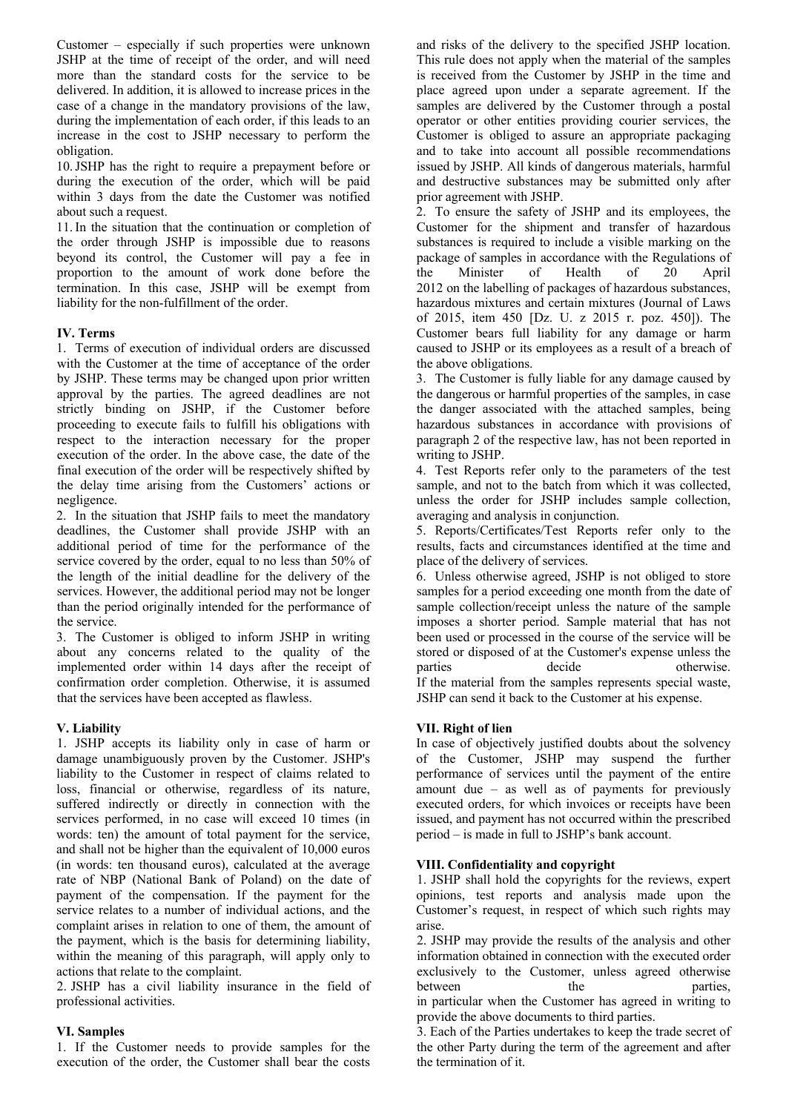Customer – especially if such properties were unknown JSHP at the time of receipt of the order, and will need more than the standard costs for the service to be delivered. In addition, it is allowed to increase prices in the case of a change in the mandatory provisions of the law, during the implementation of each order, if this leads to an increase in the cost to JSHP necessary to perform the obligation.

10.JSHP has the right to require a prepayment before or during the execution of the order, which will be paid within 3 days from the date the Customer was notified about such a request.

11. In the situation that the continuation or completion of the order through JSHP is impossible due to reasons beyond its control, the Customer will pay a fee in proportion to the amount of work done before the termination. In this case, JSHP will be exempt from liability for the non-fulfillment of the order.

### **IV. Terms**

1. Terms of execution of individual orders are discussed with the Customer at the time of acceptance of the order by JSHP. These terms may be changed upon prior written approval by the parties. The agreed deadlines are not strictly binding on JSHP, if the Customer before proceeding to execute fails to fulfill his obligations with respect to the interaction necessary for the proper execution of the order. In the above case, the date of the final execution of the order will be respectively shifted by the delay time arising from the Customers' actions or negligence.

2. In the situation that JSHP fails to meet the mandatory deadlines, the Customer shall provide JSHP with an additional period of time for the performance of the service covered by the order, equal to no less than 50% of the length of the initial deadline for the delivery of the services. However, the additional period may not be longer than the period originally intended for the performance of the service.

3. The Customer is obliged to inform JSHP in writing about any concerns related to the quality of the implemented order within 14 days after the receipt of confirmation order completion. Otherwise, it is assumed that the services have been accepted as flawless.

### **V. Liability**

1. JSHP accepts its liability only in case of harm or damage unambiguously proven by the Customer. JSHP's liability to the Customer in respect of claims related to loss, financial or otherwise, regardless of its nature, suffered indirectly or directly in connection with the services performed, in no case will exceed 10 times (in words: ten) the amount of total payment for the service, and shall not be higher than the equivalent of 10,000 euros (in words: ten thousand euros), calculated at the average rate of NBP (National Bank of Poland) on the date of payment of the compensation. If the payment for the service relates to a number of individual actions, and the complaint arises in relation to one of them, the amount of the payment, which is the basis for determining liability, within the meaning of this paragraph, will apply only to actions that relate to the complaint.

2. JSHP has a civil liability insurance in the field of professional activities.

### **VI. Samples**

1. If the Customer needs to provide samples for the execution of the order, the Customer shall bear the costs

and risks of the delivery to the specified JSHP location. This rule does not apply when the material of the samples is received from the Customer by JSHP in the time and place agreed upon under a separate agreement. If the samples are delivered by the Customer through a postal operator or other entities providing courier services, the Customer is obliged to assure an appropriate packaging and to take into account all possible recommendations issued by JSHP. All kinds of dangerous materials, harmful and destructive substances may be submitted only after prior agreement with JSHP.

2. To ensure the safety of JSHP and its employees, the Customer for the shipment and transfer of hazardous substances is required to include a visible marking on the package of samples in accordance with the Regulations of the Minister of Health of 20 April 2012 on the labelling of packages of hazardous substances, hazardous mixtures and certain mixtures (Journal of Laws of 2015, item 450 [Dz. U. z 2015 r. poz. 450]). The Customer bears full liability for any damage or harm caused to JSHP or its employees as a result of a breach of the above obligations.

3. The Customer is fully liable for any damage caused by the dangerous or harmful properties of the samples, in case the danger associated with the attached samples, being hazardous substances in accordance with provisions of paragraph 2 of the respective law, has not been reported in writing to JSHP.

4. Test Reports refer only to the parameters of the test sample, and not to the batch from which it was collected, unless the order for JSHP includes sample collection, averaging and analysis in conjunction.

5. Reports/Certificates/Test Reports refer only to the results, facts and circumstances identified at the time and place of the delivery of services.

6. Unless otherwise agreed, JSHP is not obliged to store samples for a period exceeding one month from the date of sample collection/receipt unless the nature of the sample imposes a shorter period. Sample material that has not been used or processed in the course of the service will be stored or disposed of at the Customer's expense unless the parties decide otherwise. If the material from the samples represents special waste,

JSHP can send it back to the Customer at his expense.

### **VII. Right of lien**

In case of objectively justified doubts about the solvency of the Customer, JSHP may suspend the further performance of services until the payment of the entire amount due – as well as of payments for previously executed orders, for which invoices or receipts have been issued, and payment has not occurred within the prescribed period – is made in full to JSHP's bank account.

### **VIII. Confidentiality and copyright**

1. JSHP shall hold the copyrights for the reviews, expert opinions, test reports and analysis made upon the Customer's request, in respect of which such rights may arise.

2. JSHP may provide the results of the analysis and other information obtained in connection with the executed order exclusively to the Customer, unless agreed otherwise between the parties, in particular when the Customer has agreed in writing to provide the above documents to third parties.

3. Each of the Parties undertakes to keep the trade secret of the other Party during the term of the agreement and after the termination of it.